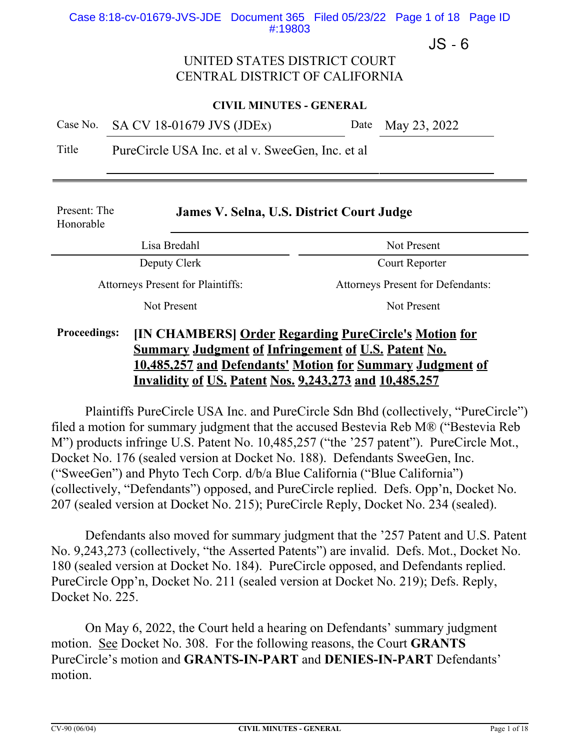### Case 8:18-cv-01679-JVS-JDE Document 365 Filed 05/23/22 Page 1 of 18 Page ID #:19803

 $JS - 6$ 

### UNITED STATES DISTRICT COURT CENTRAL DISTRICT OF CALIFORNIA

### **CIVIL MINUTES - GENERAL**

|  | Case No. SA CV 18-01679 JVS (JDEx) | Date May 23, 2022 |  |
|--|------------------------------------|-------------------|--|
|--|------------------------------------|-------------------|--|

Title PureCircle USA Inc. et al v. SweeGen, Inc. et al

| Present: The<br>Honorable                                                    | James V. Selna, U.S. District Court Judge |                                          |  |
|------------------------------------------------------------------------------|-------------------------------------------|------------------------------------------|--|
| Lisa Bredahl                                                                 |                                           | Not Present                              |  |
| Deputy Clerk                                                                 |                                           | Court Reporter                           |  |
| <b>Attorneys Present for Plaintiffs:</b>                                     |                                           | <b>Attorneys Present for Defendants:</b> |  |
| Not Present                                                                  |                                           | Not Present                              |  |
| <b>IIN CHAMRERSI Order Regarding PureCircle's Motion for</b><br>Proceedings. |                                           |                                          |  |

### **Proceedings: [IN CHAMBERS] Order Regarding PureCircle's Motion for Summary Judgment of Infringement of U.S. Patent No. 10,485,257 and Defendants' Motion for Summary Judgment of Invalidity of US. Patent Nos. 9,243,273 and 10,485,257**

Plaintiffs PureCircle USA Inc. and PureCircle Sdn Bhd (collectively, "PureCircle") filed a motion for summary judgment that the accused Bestevia Reb M® ("Bestevia Reb M") products infringe U.S. Patent No. 10,485,257 ("the '257 patent"). PureCircle Mot., Docket No. 176 (sealed version at Docket No. 188). Defendants SweeGen, Inc. ("SweeGen") and Phyto Tech Corp. d/b/a Blue California ("Blue California") (collectively, "Defendants") opposed, and PureCircle replied. Defs. Opp'n, Docket No. 207 (sealed version at Docket No. 215); PureCircle Reply, Docket No. 234 (sealed).

Defendants also moved for summary judgment that the '257 Patent and U.S. Patent No. 9,243,273 (collectively, "the Asserted Patents") are invalid. Defs. Mot., Docket No. 180 (sealed version at Docket No. 184). PureCircle opposed, and Defendants replied. PureCircle Opp'n, Docket No. 211 (sealed version at Docket No. 219); Defs. Reply, Docket No. 225.

On May 6, 2022, the Court held a hearing on Defendants' summary judgment motion. See Docket No. 308. For the following reasons, the Court **GRANTS** PureCircle's motion and **GRANTS-IN-PART** and **DENIES-IN-PART** Defendants' motion.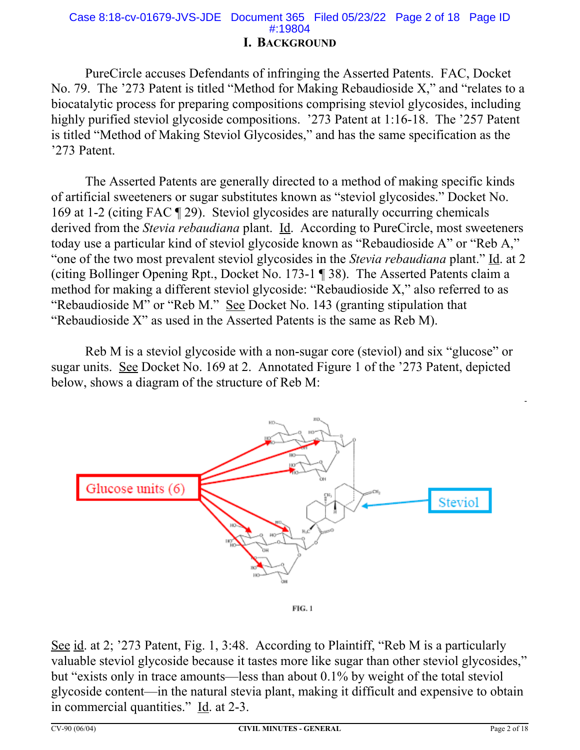# Case 8:18-cv-01679-JVS-JDE Document 365 Filed 05/23/22 Page 2 of 18 Page ID #:19804

### **I. BACKGROUND**

PureCircle accuses Defendants of infringing the Asserted Patents. FAC, Docket No. 79. The '273 Patent is titled "Method for Making Rebaudioside X," and "relates to a biocatalytic process for preparing compositions comprising steviol glycosides, including highly purified steviol glycoside compositions. '273 Patent at 1:16-18. The '257 Patent is titled "Method of Making Steviol Glycosides," and has the same specification as the '273 Patent.

The Asserted Patents are generally directed to a method of making specific kinds of artificial sweeteners or sugar substitutes known as "steviol glycosides." Docket No. 169 at 1-2 (citing FAC ¶ 29). Steviol glycosides are naturally occurring chemicals derived from the *Stevia rebaudiana* plant. Id. According to PureCircle, most sweeteners today use a particular kind of steviol glycoside known as "Rebaudioside A" or "Reb A," "one of the two most prevalent steviol glycosides in the *Stevia rebaudiana* plant." Id. at 2 (citing Bollinger Opening Rpt., Docket No. 173-1 ¶ 38). The Asserted Patents claim a method for making a different steviol glycoside: "Rebaudioside X," also referred to as "Rebaudioside M" or "Reb M." See Docket No. 143 (granting stipulation that "Rebaudioside X" as used in the Asserted Patents is the same as Reb M).

Reb M is a steviol glycoside with a non-sugar core (steviol) and six "glucose" or sugar units. See Docket No. 169 at 2. Annotated Figure 1 of the '273 Patent, depicted below, shows a diagram of the structure of Reb M:



See id. at 2; '273 Patent, Fig. 1, 3:48. According to Plaintiff, "Reb M is a particularly valuable steviol glycoside because it tastes more like sugar than other steviol glycosides," but "exists only in trace amounts—less than about 0.1% by weight of the total steviol glycoside content—in the natural stevia plant, making it difficult and expensive to obtain in commercial quantities." Id. at 2-3.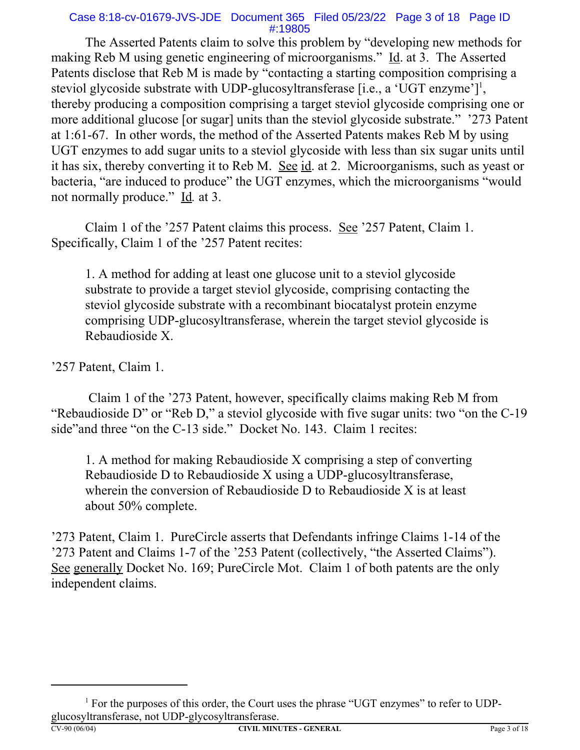### Case 8:18-cv-01679-JVS-JDE Document 365 Filed 05/23/22 Page 3 of 18 Page ID #:19805

The Asserted Patents claim to solve this problem by "developing new methods for making Reb M using genetic engineering of microorganisms." Id. at 3. The Asserted Patents disclose that Reb M is made by "contacting a starting composition comprising a steviol glycoside substrate with UDP-glucosyltransferase [i.e., a 'UGT enzyme']<sup>1</sup>, thereby producing a composition comprising a target steviol glycoside comprising one or more additional glucose [or sugar] units than the steviol glycoside substrate." '273 Patent at 1:61-67. In other words, the method of the Asserted Patents makes Reb M by using UGT enzymes to add sugar units to a steviol glycoside with less than six sugar units until it has six, thereby converting it to Reb M. See id. at 2. Microorganisms, such as yeast or bacteria, "are induced to produce" the UGT enzymes, which the microorganisms "would not normally produce." Id*.* at 3.

Claim 1 of the '257 Patent claims this process. See '257 Patent, Claim 1. Specifically, Claim 1 of the '257 Patent recites:

1. A method for adding at least one glucose unit to a steviol glycoside substrate to provide a target steviol glycoside, comprising contacting the steviol glycoside substrate with a recombinant biocatalyst protein enzyme comprising UDP-glucosyltransferase, wherein the target steviol glycoside is Rebaudioside X.

'257 Patent, Claim 1.

 Claim 1 of the '273 Patent, however, specifically claims making Reb M from "Rebaudioside D" or "Reb D," a steviol glycoside with five sugar units: two "on the C-19 side"and three "on the C-13 side." Docket No. 143. Claim 1 recites:

1. A method for making Rebaudioside X comprising a step of converting Rebaudioside D to Rebaudioside X using a UDP-glucosyltransferase, wherein the conversion of Rebaudioside D to Rebaudioside X is at least about 50% complete.

'273 Patent, Claim 1. PureCircle asserts that Defendants infringe Claims 1-14 of the '273 Patent and Claims 1-7 of the '253 Patent (collectively, "the Asserted Claims"). See generally Docket No. 169; PureCircle Mot. Claim 1 of both patents are the only independent claims.

<sup>&</sup>lt;sup>1</sup> For the purposes of this order, the Court uses the phrase "UGT enzymes" to refer to UDPglucosyltransferase, not UDP-glycosyltransferase.<br>CV-90 (06/04) CIVIL MINU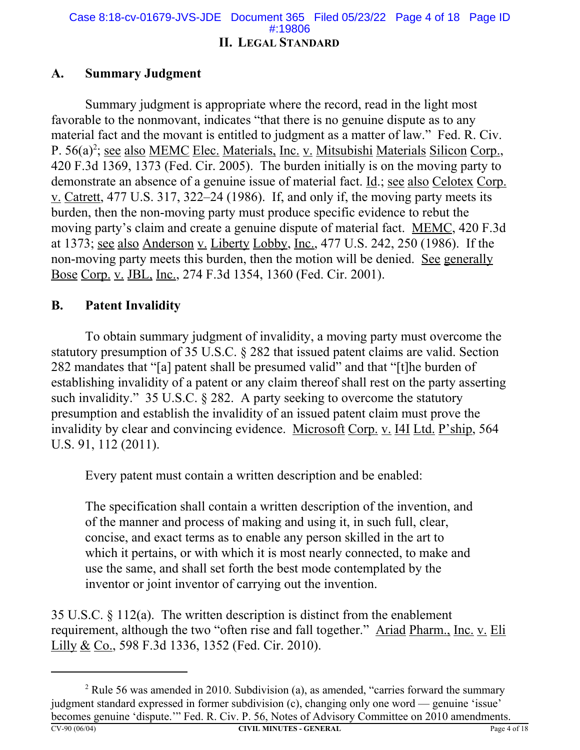### **II. LEGAL STANDARD** Case 8:18-cv-01679-JVS-JDE Document 365 Filed 05/23/22 Page 4 of 18 Page ID #:19806

### **A. Summary Judgment**

Summary judgment is appropriate where the record, read in the light most favorable to the nonmovant, indicates "that there is no genuine dispute as to any material fact and the movant is entitled to judgment as a matter of law." Fed. R. Civ. P. 56(a)<sup>2</sup>; <u>see also MEMC Elec. Materials, Inc. v. Mitsubishi Materials Silicon Corp.</u>, 420 F.3d 1369, 1373 (Fed. Cir. 2005). The burden initially is on the moving party to demonstrate an absence of a genuine issue of material fact. Id.; see also Celotex Corp. v. Catrett, 477 U.S. 317, 322–24 (1986). If, and only if, the moving party meets its burden, then the non-moving party must produce specific evidence to rebut the moving party's claim and create a genuine dispute of material fact. MEMC, 420 F.3d at 1373; see also Anderson v. Liberty Lobby, Inc., 477 U.S. 242, 250 (1986). If the non-moving party meets this burden, then the motion will be denied. See generally Bose Corp. v. JBL, Inc., 274 F.3d 1354, 1360 (Fed. Cir. 2001).

### **B. Patent Invalidity**

To obtain summary judgment of invalidity, a moving party must overcome the statutory presumption of 35 U.S.C. § 282 that issued patent claims are valid. Section 282 mandates that "[a] patent shall be presumed valid" and that "[t]he burden of establishing invalidity of a patent or any claim thereof shall rest on the party asserting such invalidity." 35 U.S.C. § 282. A party seeking to overcome the statutory presumption and establish the invalidity of an issued patent claim must prove the invalidity by clear and convincing evidence. Microsoft Corp. v. I4I Ltd. P'ship, 564 U.S. 91, 112 (2011).

Every patent must contain a written description and be enabled:

The specification shall contain a written description of the invention, and of the manner and process of making and using it, in such full, clear, concise, and exact terms as to enable any person skilled in the art to which it pertains, or with which it is most nearly connected, to make and use the same, and shall set forth the best mode contemplated by the inventor or joint inventor of carrying out the invention.

35 U.S.C.  $\S$  112(a). The written description is distinct from the enablement requirement, although the two "often rise and fall together." Ariad Pharm., Inc. v. Eli Lilly & Co., 598 F.3d 1336, 1352 (Fed. Cir. 2010).

<sup>&</sup>lt;sup>2</sup> Rule 56 was amended in 2010. Subdivision (a), as amended, "carries forward the summary judgment standard expressed in former subdivision (c), changing only one word — genuine 'issue' becomes genuine 'dispute.'" Fed. R. Civ. P. 56, Notes of Advisory Committee on 2010 amendments. **CV-90 (06/04) CIVIL MINUTES - GENERAL** Page 4 of 18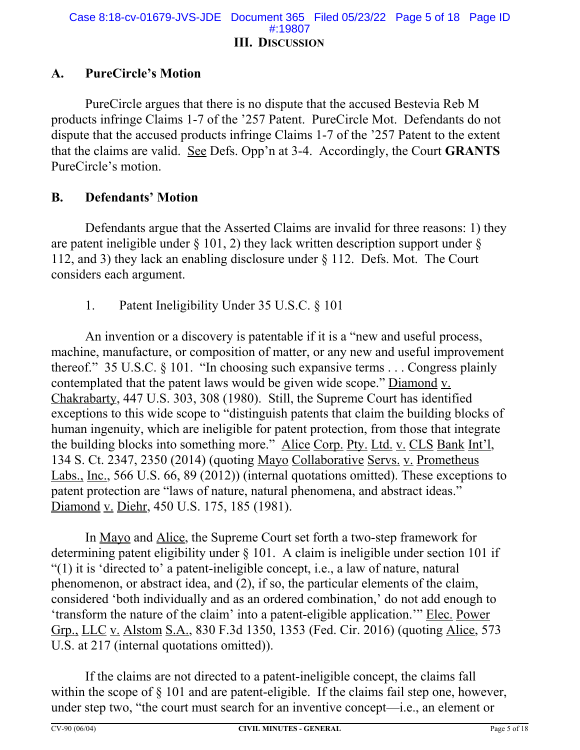### **III. DISCUSSION** Case 8:18-cv-01679-JVS-JDE Document 365 Filed 05/23/22 Page 5 of 18 Page ID #:19807

### **A. PureCircle's Motion**

PureCircle argues that there is no dispute that the accused Bestevia Reb M products infringe Claims 1-7 of the '257 Patent. PureCircle Mot. Defendants do not dispute that the accused products infringe Claims 1-7 of the '257 Patent to the extent that the claims are valid. See Defs. Opp'n at 3-4. Accordingly, the Court **GRANTS** PureCircle's motion.

### **B. Defendants' Motion**

Defendants argue that the Asserted Claims are invalid for three reasons: 1) they are patent ineligible under  $\S$  101, 2) they lack written description support under  $\S$ 112, and 3) they lack an enabling disclosure under § 112. Defs. Mot. The Court considers each argument.

1. Patent Ineligibility Under 35 U.S.C. § 101

An invention or a discovery is patentable if it is a "new and useful process, machine, manufacture, or composition of matter, or any new and useful improvement thereof." 35 U.S.C. § 101. "In choosing such expansive terms . . . Congress plainly contemplated that the patent laws would be given wide scope." Diamond v. Chakrabarty, 447 U.S. 303, 308 (1980). Still, the Supreme Court has identified exceptions to this wide scope to "distinguish patents that claim the building blocks of human ingenuity, which are ineligible for patent protection, from those that integrate the building blocks into something more." Alice Corp. Pty. Ltd. v. CLS Bank Int'l, 134 S. Ct. 2347, 2350 (2014) (quoting Mayo Collaborative Servs. v. Prometheus Labs., Inc., 566 U.S. 66, 89 (2012)) (internal quotations omitted). These exceptions to patent protection are "laws of nature, natural phenomena, and abstract ideas." Diamond v. Diehr, 450 U.S. 175, 185 (1981).

In Mayo and Alice, the Supreme Court set forth a two-step framework for determining patent eligibility under § 101. A claim is ineligible under section 101 if "(1) it is 'directed to' a patent-ineligible concept, i.e., a law of nature, natural phenomenon, or abstract idea, and (2), if so, the particular elements of the claim, considered 'both individually and as an ordered combination,' do not add enough to 'transform the nature of the claim' into a patent-eligible application.'" Elec. Power Grp., LLC v. Alstom S.A., 830 F.3d 1350, 1353 (Fed. Cir. 2016) (quoting Alice, 573 U.S. at 217 (internal quotations omitted)).

If the claims are not directed to a patent-ineligible concept, the claims fall within the scope of § 101 and are patent-eligible.If the claims fail step one, however, under step two, "the court must search for an inventive concept—i.e., an element or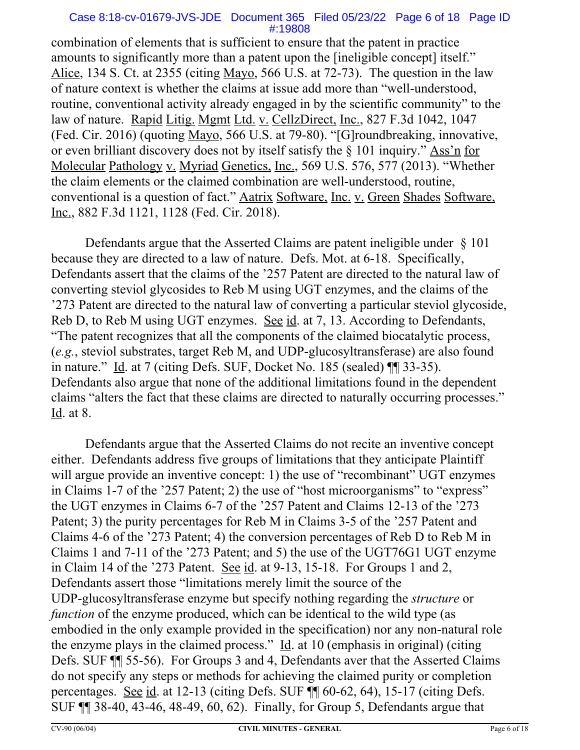### Case 8:18-cv-01679-JVS-JDE Document 365 Filed 05/23/22 Page 6 of 18 Page ID #:19808

combination of elements that is sufficient to ensure that the patent in practice amounts to significantly more than a patent upon the [ineligible concept] itself." Alice, 134 S. Ct. at 2355 (citing Mayo, 566 U.S. at 72-73). The question in the law of nature context is whether the claims at issue add more than "well-understood, routine, conventional activity already engaged in by the scientific community" to the law of nature. Rapid Litig. Mgmt Ltd. v. CellzDirect, Inc., 827 F.3d 1042, 1047 (Fed. Cir. 2016) (quoting Mayo, 566 U.S. at 79-80). "[G]roundbreaking, innovative, or even brilliant discovery does not by itself satisfy the § 101 inquiry." Ass'n for Molecular Pathology v. Myriad Genetics, Inc., 569 U.S. 576, 577 (2013). "Whether the claim elements or the claimed combination are well-understood, routine, conventional is a question of fact." Aatrix Software, Inc. v. Green Shades Software, Inc., 882 F.3d 1121, 1128 (Fed. Cir. 2018).

Defendants argue that the Asserted Claims are patent ineligible under § 101 because they are directed to a law of nature. Defs. Mot. at 6-18. Specifically, Defendants assert that the claims of the '257 Patent are directed to the natural law of converting steviol glycosides to Reb M using UGT enzymes, and the claims of the '273 Patent are directed to the natural law of converting a particular steviol glycoside, Reb D, to Reb M using UGT enzymes. See id. at 7, 13. According to Defendants, "The patent recognizes that all the components of the claimed biocatalytic process, (*e.g.*, steviol substrates, target Reb M, and UDP-glucosyltransferase) are also found in nature." Id. at 7 (citing Defs. SUF, Docket No. 185 (sealed) ¶¶ 33-35). Defendants also argue that none of the additional limitations found in the dependent claims "alters the fact that these claims are directed to naturally occurring processes." Id. at 8.

Defendants argue that the Asserted Claims do not recite an inventive concept either. Defendants address five groups of limitations that they anticipate Plaintiff will argue provide an inventive concept: 1) the use of "recombinant" UGT enzymes in Claims 1-7 of the '257 Patent; 2) the use of "host microorganisms" to "express" the UGT enzymes in Claims 6-7 of the '257 Patent and Claims 12-13 of the '273 Patent; 3) the purity percentages for Reb M in Claims 3-5 of the '257 Patent and Claims 4-6 of the '273 Patent; 4) the conversion percentages of Reb D to Reb M in Claims 1 and 7-11 of the '273 Patent; and 5) the use of the UGT76G1 UGT enzyme in Claim 14 of the '273 Patent. See id. at 9-13, 15-18. For Groups 1 and 2, Defendants assert those "limitations merely limit the source of the UDP-glucosyltransferase enzyme but specify nothing regarding the *structure* or *function* of the enzyme produced, which can be identical to the wild type (as embodied in the only example provided in the specification) nor any non-natural role the enzyme plays in the claimed process."  $Id$  at 10 (emphasis in original) (citing Defs. SUF ¶¶ 55-56). For Groups 3 and 4, Defendants aver that the Asserted Claims do not specify any steps or methods for achieving the claimed purity or completion percentages. See id. at 12-13 (citing Defs. SUF ¶¶ 60-62, 64), 15-17 (citing Defs. SUF ¶¶ 38-40, 43-46, 48-49, 60, 62). Finally, for Group 5, Defendants argue that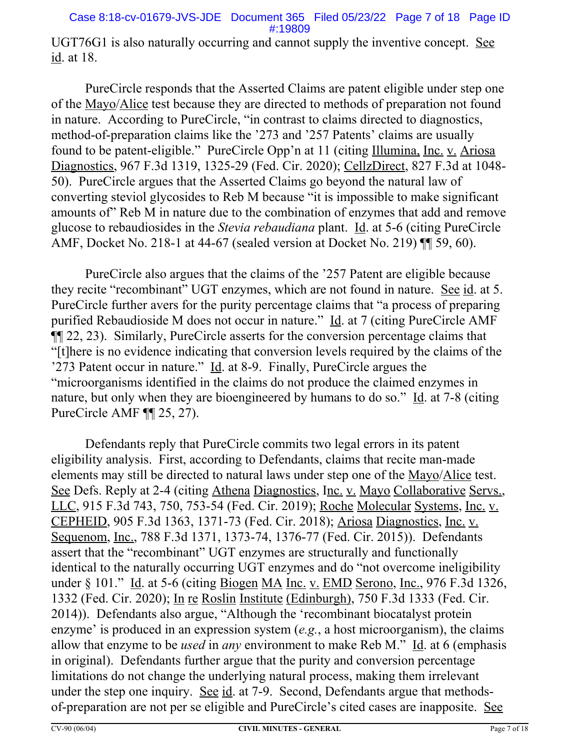UGT76G1 is also naturally occurring and cannot supply the inventive concept. See id. at 18.

PureCircle responds that the Asserted Claims are patent eligible under step one of the Mayo/Alice test because they are directed to methods of preparation not found in nature. According to PureCircle, "in contrast to claims directed to diagnostics, method-of-preparation claims like the '273 and '257 Patents' claims are usually found to be patent-eligible." PureCircle Opp'n at 11 (citing Illumina, Inc. v. Ariosa Diagnostics, 967 F.3d 1319, 1325-29 (Fed. Cir. 2020); CellzDirect, 827 F.3d at 1048- 50). PureCircle argues that the Asserted Claims go beyond the natural law of converting steviol glycosides to Reb M because "it is impossible to make significant amounts of" Reb M in nature due to the combination of enzymes that add and remove glucose to rebaudiosides in the *Stevia rebaudiana* plant. Id. at 5-6 (citing PureCircle AMF, Docket No. 218-1 at 44-67 (sealed version at Docket No. 219) ¶¶ 59, 60).

PureCircle also argues that the claims of the '257 Patent are eligible because they recite "recombinant" UGT enzymes, which are not found in nature. See id. at 5. PureCircle further avers for the purity percentage claims that "a process of preparing purified Rebaudioside M does not occur in nature." Id. at 7 (citing PureCircle AMF ¶¶ 22, 23). Similarly, PureCircle asserts for the conversion percentage claims that "[t]here is no evidence indicating that conversion levels required by the claims of the '273 Patent occur in nature." Id. at 8-9. Finally, PureCircle argues the "microorganisms identified in the claims do not produce the claimed enzymes in nature, but only when they are bioengineered by humans to do so." Id. at 7-8 (citing PureCircle AMF ¶¶ 25, 27).

Defendants reply that PureCircle commits two legal errors in its patent eligibility analysis. First, according to Defendants, claims that recite man-made elements may still be directed to natural laws under step one of the Mayo/Alice test. See Defs. Reply at 2-4 (citing Athena Diagnostics, Inc. v. Mayo Collaborative Servs., LLC, 915 F.3d 743, 750, 753-54 (Fed. Cir. 2019); Roche Molecular Systems, Inc. v. CEPHEID, 905 F.3d 1363, 1371-73 (Fed. Cir. 2018); Ariosa Diagnostics, Inc. v. Sequenom, Inc., 788 F.3d 1371, 1373-74, 1376-77 (Fed. Cir. 2015)). Defendants assert that the "recombinant" UGT enzymes are structurally and functionally identical to the naturally occurring UGT enzymes and do "not overcome ineligibility under § 101." Id. at 5-6 (citing Biogen MA Inc. v. EMD Serono, Inc., 976 F.3d 1326, 1332 (Fed. Cir. 2020); In re Roslin Institute (Edinburgh), 750 F.3d 1333 (Fed. Cir. 2014)). Defendants also argue, "Although the 'recombinant biocatalyst protein enzyme' is produced in an expression system (*e.g.*, a host microorganism), the claims allow that enzyme to be *used* in *any* environment to make Reb M." Id. at 6 (emphasis in original). Defendants further argue that the purity and conversion percentage limitations do not change the underlying natural process, making them irrelevant under the step one inquiry. See id. at 7-9. Second, Defendants argue that methodsof-preparation are not per se eligible and PureCircle's cited cases are inapposite. See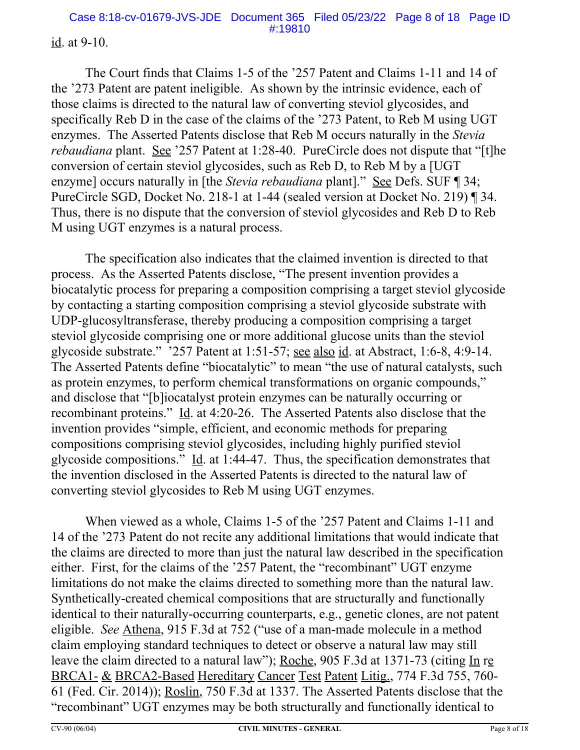### id. at 9-10.

The Court finds that Claims 1-5 of the '257 Patent and Claims 1-11 and 14 of the '273 Patent are patent ineligible. As shown by the intrinsic evidence, each of those claims is directed to the natural law of converting steviol glycosides, and specifically Reb D in the case of the claims of the '273 Patent, to Reb M using UGT enzymes. The Asserted Patents disclose that Reb M occurs naturally in the *Stevia rebaudiana* plant. See '257 Patent at 1:28-40. PureCircle does not dispute that "[t]he conversion of certain steviol glycosides, such as Reb D, to Reb M by a [UGT enzyme] occurs naturally in [the *Stevia rebaudiana* plant]." See Defs. SUF ¶ 34; PureCircle SGD, Docket No. 218-1 at 1-44 (sealed version at Docket No. 219) ¶ 34. Thus, there is no dispute that the conversion of steviol glycosides and Reb D to Reb M using UGT enzymes is a natural process.

The specification also indicates that the claimed invention is directed to that process. As the Asserted Patents disclose, "The present invention provides a biocatalytic process for preparing a composition comprising a target steviol glycoside by contacting a starting composition comprising a steviol glycoside substrate with UDP-glucosyltransferase, thereby producing a composition comprising a target steviol glycoside comprising one or more additional glucose units than the steviol glycoside substrate." '257 Patent at 1:51-57; see also id. at Abstract, 1:6-8, 4:9-14. The Asserted Patents define "biocatalytic" to mean "the use of natural catalysts, such as protein enzymes, to perform chemical transformations on organic compounds," and disclose that "[b]iocatalyst protein enzymes can be naturally occurring or recombinant proteins." Id. at 4:20-26. The Asserted Patents also disclose that the invention provides "simple, efficient, and economic methods for preparing compositions comprising steviol glycosides, including highly purified steviol glycoside compositions." Id. at 1:44-47. Thus, the specification demonstrates that the invention disclosed in the Asserted Patents is directed to the natural law of converting steviol glycosides to Reb M using UGT enzymes.

When viewed as a whole, Claims 1-5 of the '257 Patent and Claims 1-11 and 14 of the '273 Patent do not recite any additional limitations that would indicate that the claims are directed to more than just the natural law described in the specification either. First, for the claims of the '257 Patent, the "recombinant" UGT enzyme limitations do not make the claims directed to something more than the natural law. Synthetically-created chemical compositions that are structurally and functionally identical to their naturally-occurring counterparts, e.g., genetic clones, are not patent eligible. *See* Athena, 915 F.3d at 752 ("use of a man-made molecule in a method claim employing standard techniques to detect or observe a natural law may still leave the claim directed to a natural law"); Roche, 905 F.3d at 1371-73 (citing In re BRCA1- & BRCA2-Based Hereditary Cancer Test Patent Litig., 774 F.3d 755, 760- 61 (Fed. Cir. 2014)); Roslin, 750 F.3d at 1337. The Asserted Patents disclose that the "recombinant" UGT enzymes may be both structurally and functionally identical to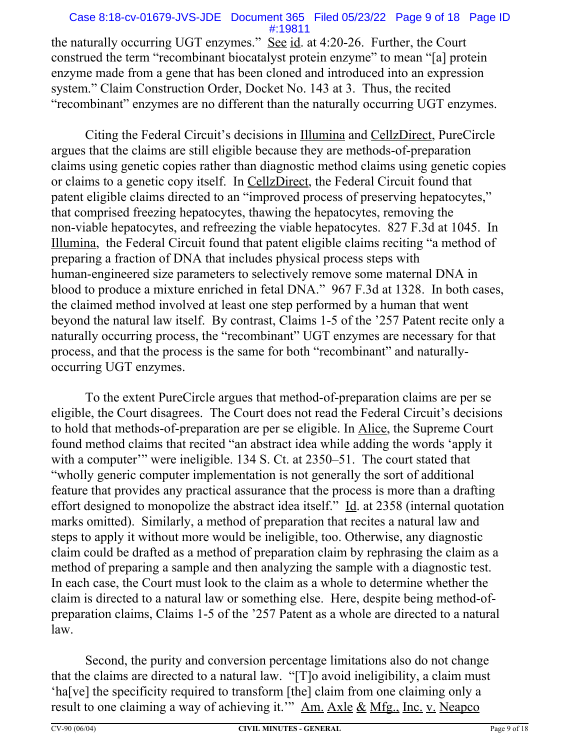### Case 8:18-cv-01679-JVS-JDE Document 365 Filed 05/23/22 Page 9 of 18 Page ID #:19811

the naturally occurring UGT enzymes." See id. at 4:20-26. Further, the Court construed the term "recombinant biocatalyst protein enzyme" to mean "[a] protein enzyme made from a gene that has been cloned and introduced into an expression system." Claim Construction Order, Docket No. 143 at 3. Thus, the recited "recombinant" enzymes are no different than the naturally occurring UGT enzymes.

Citing the Federal Circuit's decisions in Illumina and CellzDirect, PureCircle argues that the claims are still eligible because they are methods-of-preparation claims using genetic copies rather than diagnostic method claims using genetic copies or claims to a genetic copy itself. In CellzDirect, the Federal Circuit found that patent eligible claims directed to an "improved process of preserving hepatocytes," that comprised freezing hepatocytes, thawing the hepatocytes, removing the non-viable hepatocytes, and refreezing the viable hepatocytes. 827 F.3d at 1045. In Illumina, the Federal Circuit found that patent eligible claims reciting "a method of preparing a fraction of DNA that includes physical process steps with human-engineered size parameters to selectively remove some maternal DNA in blood to produce a mixture enriched in fetal DNA." 967 F.3d at 1328. In both cases, the claimed method involved at least one step performed by a human that went beyond the natural law itself. By contrast, Claims 1-5 of the '257 Patent recite only a naturally occurring process, the "recombinant" UGT enzymes are necessary for that process, and that the process is the same for both "recombinant" and naturallyoccurring UGT enzymes.

To the extent PureCircle argues that method-of-preparation claims are per se eligible, the Court disagrees. The Court does not read the Federal Circuit's decisions to hold that methods-of-preparation are per se eligible. In Alice, the Supreme Court found method claims that recited "an abstract idea while adding the words 'apply it with a computer'" were ineligible. 134 S. Ct. at 2350–51. The court stated that "wholly generic computer implementation is not generally the sort of additional feature that provides any practical assurance that the process is more than a drafting effort designed to monopolize the abstract idea itself." Id. at 2358 (internal quotation marks omitted). Similarly, a method of preparation that recites a natural law and steps to apply it without more would be ineligible, too. Otherwise, any diagnostic claim could be drafted as a method of preparation claim by rephrasing the claim as a method of preparing a sample and then analyzing the sample with a diagnostic test. In each case, the Court must look to the claim as a whole to determine whether the claim is directed to a natural law or something else. Here, despite being method-ofpreparation claims, Claims 1-5 of the '257 Patent as a whole are directed to a natural law.

Second, the purity and conversion percentage limitations also do not change that the claims are directed to a natural law. "[T]o avoid ineligibility, a claim must 'ha[ve] the specificity required to transform [the] claim from one claiming only a result to one claiming a way of achieving it." Am. Axle & Mfg., Inc. v. Neapco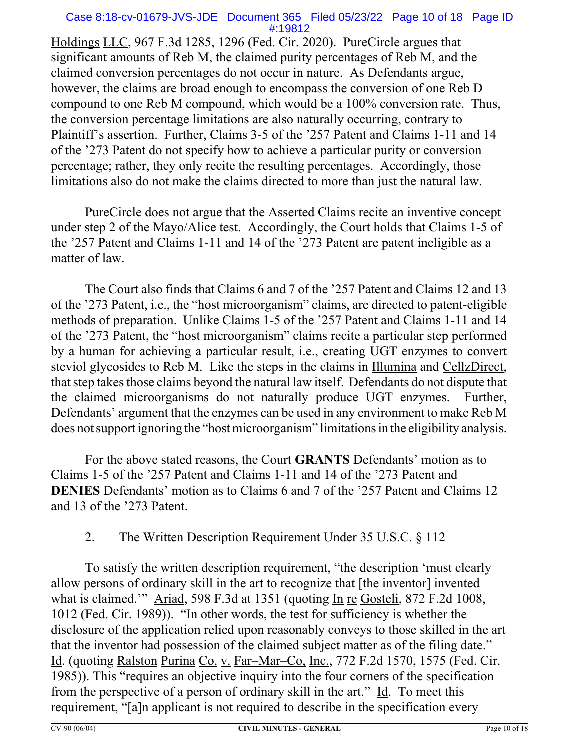#### Case 8:18-cv-01679-JVS-JDE Document 365 Filed 05/23/22 Page 10 of 18 Page ID #:19812

Holdings LLC, 967 F.3d 1285, 1296 (Fed. Cir. 2020). PureCircle argues that significant amounts of Reb M, the claimed purity percentages of Reb M, and the claimed conversion percentages do not occur in nature. As Defendants argue, however, the claims are broad enough to encompass the conversion of one Reb D compound to one Reb M compound, which would be a 100% conversion rate. Thus, the conversion percentage limitations are also naturally occurring, contrary to Plaintiff's assertion. Further, Claims 3-5 of the '257 Patent and Claims 1-11 and 14 of the '273 Patent do not specify how to achieve a particular purity or conversion percentage; rather, they only recite the resulting percentages. Accordingly, those limitations also do not make the claims directed to more than just the natural law.

PureCircle does not argue that the Asserted Claims recite an inventive concept under step 2 of the Mayo/Alice test. Accordingly, the Court holds that Claims 1-5 of the '257 Patent and Claims 1-11 and 14 of the '273 Patent are patent ineligible as a matter of law.

The Court also finds that Claims 6 and 7 of the '257 Patent and Claims 12 and 13 of the '273 Patent, i.e., the "host microorganism" claims, are directed to patent-eligible methods of preparation. Unlike Claims 1-5 of the '257 Patent and Claims 1-11 and 14 of the '273 Patent, the "host microorganism" claims recite a particular step performed by a human for achieving a particular result, i.e., creating UGT enzymes to convert steviol glycosides to Reb M. Like the steps in the claims in Illumina and CellzDirect, that step takes those claims beyond the natural law itself. Defendants do not dispute that the claimed microorganisms do not naturally produce UGT enzymes. Further, Defendants' argument that the enzymes can be used in any environment to make Reb M does not support ignoring the "host microorganism" limitations in the eligibility analysis.

For the above stated reasons, the Court **GRANTS** Defendants' motion as to Claims 1-5 of the '257 Patent and Claims 1-11 and 14 of the '273 Patent and **DENIES** Defendants' motion as to Claims 6 and 7 of the '257 Patent and Claims 12 and 13 of the '273 Patent.

## 2. The Written Description Requirement Under 35 U.S.C. § 112

To satisfy the written description requirement, "the description 'must clearly allow persons of ordinary skill in the art to recognize that [the inventor] invented what is claimed." Ariad, 598 F.3d at 1351 (quoting In re Gosteli, 872 F.2d 1008, 1012 (Fed. Cir. 1989)). "In other words, the test for sufficiency is whether the disclosure of the application relied upon reasonably conveys to those skilled in the art that the inventor had possession of the claimed subject matter as of the filing date." Id. (quoting Ralston Purina Co. v. Far–Mar–Co, Inc., 772 F.2d 1570, 1575 (Fed. Cir. 1985)). This "requires an objective inquiry into the four corners of the specification from the perspective of a person of ordinary skill in the art." Id. To meet this requirement, "[a]n applicant is not required to describe in the specification every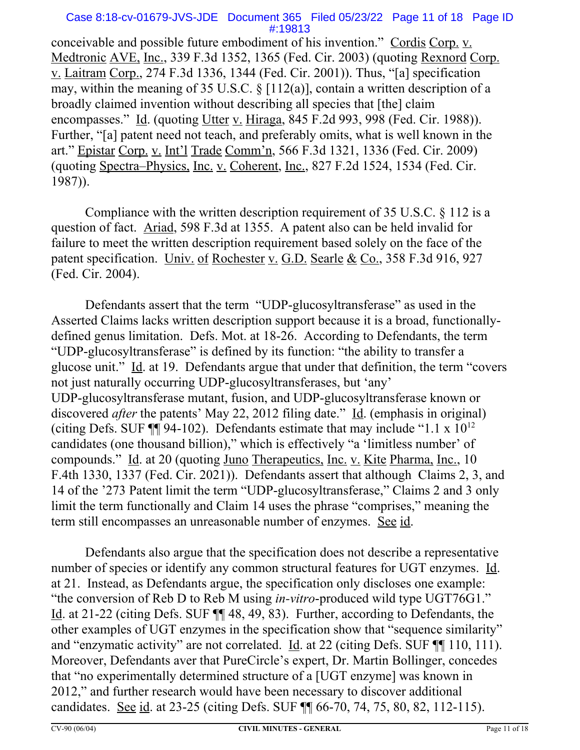### Case 8:18-cv-01679-JVS-JDE Document 365 Filed 05/23/22 Page 11 of 18 Page ID #:19813

conceivable and possible future embodiment of his invention." Cordis Corp. v. Medtronic AVE, Inc., 339 F.3d 1352, 1365 (Fed. Cir. 2003) (quoting Rexnord Corp. v. Laitram Corp., 274 F.3d 1336, 1344 (Fed. Cir. 2001)). Thus, "[a] specification may, within the meaning of 35 U.S.C.  $\S$  [112(a)], contain a written description of a broadly claimed invention without describing all species that [the] claim encompasses." Id. (quoting Utter v. Hiraga, 845 F.2d 993, 998 (Fed. Cir. 1988)). Further, "[a] patent need not teach, and preferably omits, what is well known in the art." Epistar Corp. v. Int'l Trade Comm'n, 566 F.3d 1321, 1336 (Fed. Cir. 2009) (quoting Spectra–Physics, Inc. v. Coherent, Inc., 827 F.2d 1524, 1534 (Fed. Cir. 1987)).

Compliance with the written description requirement of 35 U.S.C. § 112 is a question of fact. Ariad, 598 F.3d at 1355. A patent also can be held invalid for failure to meet the written description requirement based solely on the face of the patent specification. Univ. of Rochester v. G.D. Searle & Co., 358 F.3d 916, 927 (Fed. Cir. 2004).

Defendants assert that the term "UDP-glucosyltransferase" as used in the Asserted Claims lacks written description support because it is a broad, functionallydefined genus limitation. Defs. Mot. at 18-26. According to Defendants, the term "UDP-glucosyltransferase" is defined by its function: "the ability to transfer a glucose unit." Id. at 19. Defendants argue that under that definition, the term "covers not just naturally occurring UDP-glucosyltransferases, but 'any' UDP-glucosyltransferase mutant, fusion, and UDP-glucosyltransferase known or discovered *after* the patents' May 22, 2012 filing date." Id. (emphasis in original) (citing Defs. SUF  $\P$ ] 94-102). Defendants estimate that may include "1.1 x  $10^{12}$ candidates (one thousand billion)," which is effectively "a 'limitless number' of compounds." Id. at 20 (quoting Juno Therapeutics, Inc. v. Kite Pharma, Inc., 10 F.4th 1330, 1337 (Fed. Cir. 2021)). Defendants assert that although Claims 2, 3, and 14 of the '273 Patent limit the term "UDP-glucosyltransferase," Claims 2 and 3 only limit the term functionally and Claim 14 uses the phrase "comprises," meaning the term still encompasses an unreasonable number of enzymes. See id.

Defendants also argue that the specification does not describe a representative number of species or identify any common structural features for UGT enzymes. Id. at 21. Instead, as Defendants argue, the specification only discloses one example: "the conversion of Reb D to Reb M using *in-vitro*-produced wild type UGT76G1." Id. at 21-22 (citing Defs. SUF ¶¶ 48, 49, 83). Further, according to Defendants, the other examples of UGT enzymes in the specification show that "sequence similarity" and "enzymatic activity" are not correlated. Id. at 22 (citing Defs. SUF ¶¶ 110, 111). Moreover, Defendants aver that PureCircle's expert, Dr. Martin Bollinger, concedes that "no experimentally determined structure of a [UGT enzyme] was known in 2012," and further research would have been necessary to discover additional candidates. See id. at 23-25 (citing Defs. SUF ¶¶ 66-70, 74, 75, 80, 82, 112-115).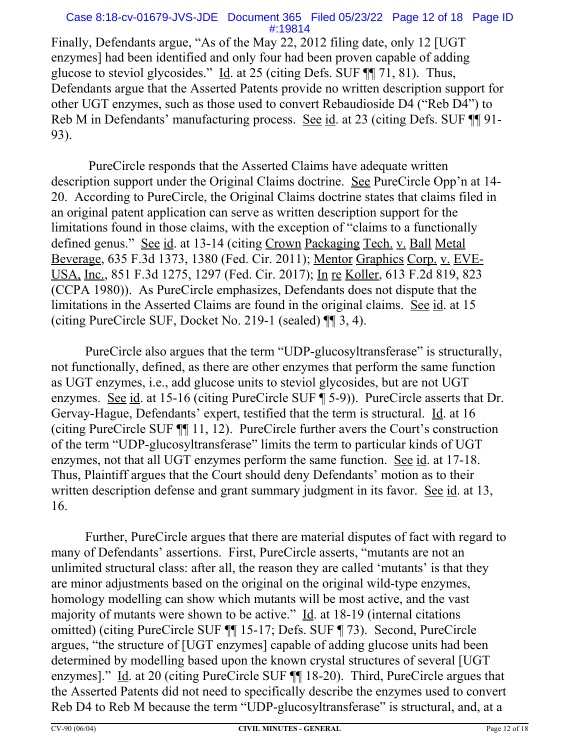### Case 8:18-cv-01679-JVS-JDE Document 365 Filed 05/23/22 Page 12 of 18 Page ID #:19814

Finally, Defendants argue, "As of the May 22, 2012 filing date, only 12 [UGT enzymes] had been identified and only four had been proven capable of adding glucose to steviol glycosides." Id. at 25 (citing Defs. SUF ¶¶ 71, 81). Thus, Defendants argue that the Asserted Patents provide no written description support for other UGT enzymes, such as those used to convert Rebaudioside D4 ("Reb D4") to Reb M in Defendants' manufacturing process. See id. at 23 (citing Defs. SUF ¶[91-93).

 PureCircle responds that the Asserted Claims have adequate written description support under the Original Claims doctrine. See PureCircle Opp'n at 14- 20. According to PureCircle, the Original Claims doctrine states that claims filed in an original patent application can serve as written description support for the limitations found in those claims, with the exception of "claims to a functionally defined genus." See id. at 13-14 (citing Crown Packaging Tech. v. Ball Metal Beverage, 635 F.3d 1373, 1380 (Fed. Cir. 2011); Mentor Graphics Corp. v. EVE-USA, Inc., 851 F.3d 1275, 1297 (Fed. Cir. 2017); In re Koller, 613 F.2d 819, 823 (CCPA 1980)). As PureCircle emphasizes, Defendants does not dispute that the limitations in the Asserted Claims are found in the original claims. See id. at 15 (citing PureCircle SUF, Docket No. 219-1 (sealed) ¶¶ 3, 4).

PureCircle also argues that the term "UDP-glucosyltransferase" is structurally, not functionally, defined, as there are other enzymes that perform the same function as UGT enzymes, i.e., add glucose units to steviol glycosides, but are not UGT enzymes. See id. at 15-16 (citing PureCircle SUF ¶ 5-9)). PureCircle asserts that Dr. Gervay-Hague, Defendants' expert, testified that the term is structural. Id. at 16 (citing PureCircle SUF ¶¶ 11, 12). PureCircle further avers the Court's construction of the term "UDP-glucosyltransferase" limits the term to particular kinds of UGT enzymes, not that all UGT enzymes perform the same function. See id. at 17-18. Thus, Plaintiff argues that the Court should deny Defendants' motion as to their written description defense and grant summary judgment in its favor. See id. at 13, 16.

Further, PureCircle argues that there are material disputes of fact with regard to many of Defendants' assertions. First, PureCircle asserts, "mutants are not an unlimited structural class: after all, the reason they are called 'mutants' is that they are minor adjustments based on the original on the original wild-type enzymes, homology modelling can show which mutants will be most active, and the vast majority of mutants were shown to be active."  $\underline{Id}$ . at 18-19 (internal citations omitted) (citing PureCircle SUF ¶¶ 15-17; Defs. SUF ¶ 73). Second, PureCircle argues, "the structure of [UGT enzymes] capable of adding glucose units had been determined by modelling based upon the known crystal structures of several [UGT enzymes]." Id. at 20 (citing PureCircle SUF ¶¶ 18-20). Third, PureCircle argues that the Asserted Patents did not need to specifically describe the enzymes used to convert Reb D4 to Reb M because the term "UDP-glucosyltransferase" is structural, and, at a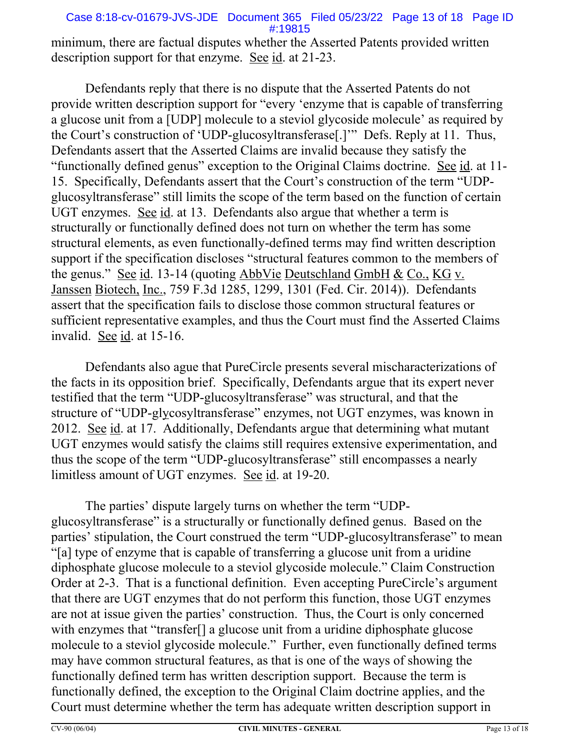### Case 8:18-cv-01679-JVS-JDE Document 365 Filed 05/23/22 Page 13 of 18 Page ID #:19815

minimum, there are factual disputes whether the Asserted Patents provided written description support for that enzyme. See id. at 21-23.

Defendants reply that there is no dispute that the Asserted Patents do not provide written description support for "every 'enzyme that is capable of transferring a glucose unit from a [UDP] molecule to a steviol glycoside molecule' as required by the Court's construction of 'UDP-glucosyltransferase[.]'" Defs. Reply at 11. Thus, Defendants assert that the Asserted Claims are invalid because they satisfy the "functionally defined genus" exception to the Original Claims doctrine. See id. at 11- 15. Specifically, Defendants assert that the Court's construction of the term "UDPglucosyltransferase" still limits the scope of the term based on the function of certain UGT enzymes. See id. at 13. Defendants also argue that whether a term is structurally or functionally defined does not turn on whether the term has some structural elements, as even functionally-defined terms may find written description support if the specification discloses "structural features common to the members of the genus." See id. 13-14 (quoting AbbVie Deutschland GmbH & Co., KG v. Janssen Biotech, Inc., 759 F.3d 1285, 1299, 1301 (Fed. Cir. 2014)). Defendants assert that the specification fails to disclose those common structural features or sufficient representative examples, and thus the Court must find the Asserted Claims invalid. See id. at 15-16.

Defendants also ague that PureCircle presents several mischaracterizations of the facts in its opposition brief. Specifically, Defendants argue that its expert never testified that the term "UDP-glucosyltransferase" was structural, and that the structure of "UDP-glycosyltransferase" enzymes, not UGT enzymes, was known in 2012. See id. at 17. Additionally, Defendants argue that determining what mutant UGT enzymes would satisfy the claims still requires extensive experimentation, and thus the scope of the term "UDP-glucosyltransferase" still encompasses a nearly limitless amount of UGT enzymes. See id. at 19-20.

The parties' dispute largely turns on whether the term "UDPglucosyltransferase" is a structurally or functionally defined genus. Based on the parties' stipulation, the Court construed the term "UDP-glucosyltransferase" to mean "[a] type of enzyme that is capable of transferring a glucose unit from a uridine diphosphate glucose molecule to a steviol glycoside molecule." Claim Construction Order at 2-3. That is a functional definition. Even accepting PureCircle's argument that there are UGT enzymes that do not perform this function, those UGT enzymes are not at issue given the parties' construction. Thus, the Court is only concerned with enzymes that "transfer<sup>[]</sup> a glucose unit from a uridine diphosphate glucose molecule to a steviol glycoside molecule." Further, even functionally defined terms may have common structural features, as that is one of the ways of showing the functionally defined term has written description support. Because the term is functionally defined, the exception to the Original Claim doctrine applies, and the Court must determine whether the term has adequate written description support in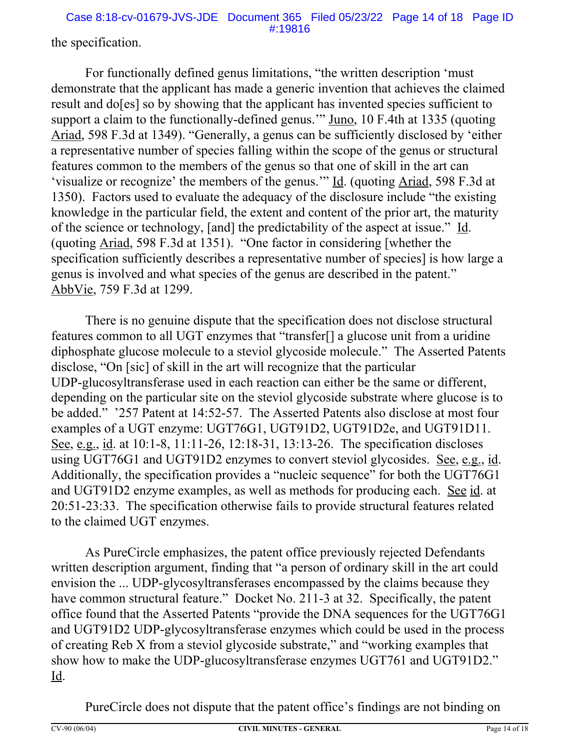Case 8:18-cv-01679-JVS-JDE Document 365 Filed 05/23/22 Page 14 of 18 Page ID #:19816

the specification.

For functionally defined genus limitations, "the written description 'must demonstrate that the applicant has made a generic invention that achieves the claimed result and do[es] so by showing that the applicant has invented species sufficient to support a claim to the functionally-defined genus." Juno, 10 F.4th at 1335 (quoting Ariad, 598 F.3d at 1349). "Generally, a genus can be sufficiently disclosed by 'either a representative number of species falling within the scope of the genus or structural features common to the members of the genus so that one of skill in the art can 'visualize or recognize' the members of the genus.'" Id. (quoting Ariad, 598 F.3d at 1350). Factors used to evaluate the adequacy of the disclosure include "the existing knowledge in the particular field, the extent and content of the prior art, the maturity of the science or technology, [and] the predictability of the aspect at issue." Id. (quoting Ariad, 598 F.3d at 1351). "One factor in considering [whether the specification sufficiently describes a representative number of species] is how large a genus is involved and what species of the genus are described in the patent." AbbVie, 759 F.3d at 1299.

There is no genuine dispute that the specification does not disclose structural features common to all UGT enzymes that "transfer[] a glucose unit from a uridine diphosphate glucose molecule to a steviol glycoside molecule." The Asserted Patents disclose, "On [sic] of skill in the art will recognize that the particular UDP-glucosyltransferase used in each reaction can either be the same or different, depending on the particular site on the steviol glycoside substrate where glucose is to be added." '257 Patent at 14:52-57. The Asserted Patents also disclose at most four examples of a UGT enzyme: UGT76G1, UGT91D2, UGT91D2e, and UGT91D11. See, e.g., id. at 10:1-8, 11:11-26, 12:18-31, 13:13-26. The specification discloses using UGT76G1 and UGT91D2 enzymes to convert steviol glycosides. See, e.g., id. Additionally, the specification provides a "nucleic sequence" for both the UGT76G1 and UGT91D2 enzyme examples, as well as methods for producing each. See id. at 20:51-23:33. The specification otherwise fails to provide structural features related to the claimed UGT enzymes.

As PureCircle emphasizes, the patent office previously rejected Defendants written description argument, finding that "a person of ordinary skill in the art could envision the ... UDP-glycosyltransferases encompassed by the claims because they have common structural feature." Docket No. 211-3 at 32. Specifically, the patent office found that the Asserted Patents "provide the DNA sequences for the UGT76G1 and UGT91D2 UDP-glycosyltransferase enzymes which could be used in the process of creating Reb X from a steviol glycoside substrate," and "working examples that show how to make the UDP-glucosyltransferase enzymes UGT761 and UGT91D2." Id.

PureCircle does not dispute that the patent office's findings are not binding on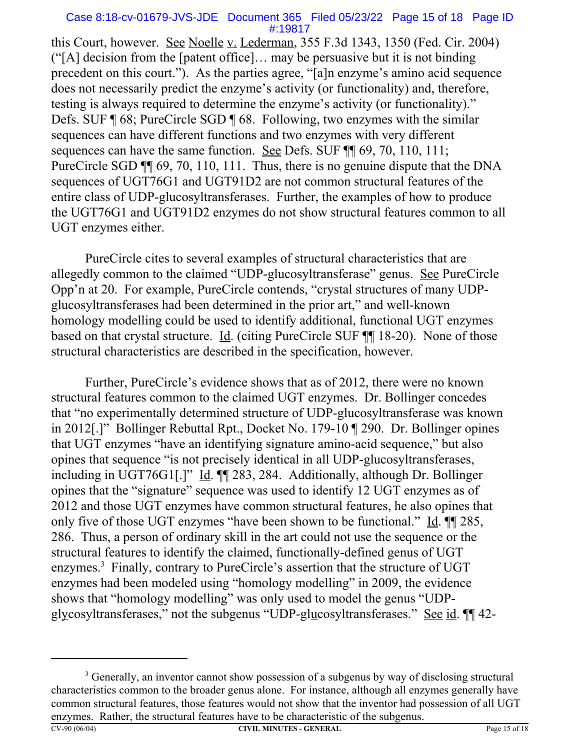#### Case 8:18-cv-01679-JVS-JDE Document 365 Filed 05/23/22 Page 15 of 18 Page ID #:19817

this Court, however. See Noelle v. Lederman, 355 F.3d 1343, 1350 (Fed. Cir. 2004) ("[A] decision from the [patent office]… may be persuasive but it is not binding precedent on this court."). As the parties agree, "[a]n enzyme's amino acid sequence does not necessarily predict the enzyme's activity (or functionality) and, therefore, testing is always required to determine the enzyme's activity (or functionality)." Defs. SUF ¶ 68; PureCircle SGD ¶ 68. Following, two enzymes with the similar sequences can have different functions and two enzymes with very different sequences can have the same function. See Defs. SUF  $\P$  69, 70, 110, 111; PureCircle SGD  $\P$  69, 70, 110, 111. Thus, there is no genuine dispute that the DNA sequences of UGT76G1 and UGT91D2 are not common structural features of the entire class of UDP-glucosyltransferases. Further, the examples of how to produce the UGT76G1 and UGT91D2 enzymes do not show structural features common to all UGT enzymes either.

PureCircle cites to several examples of structural characteristics that are allegedly common to the claimed "UDP-glucosyltransferase" genus. See PureCircle Opp'n at 20. For example, PureCircle contends, "crystal structures of many UDPglucosyltransferases had been determined in the prior art," and well-known homology modelling could be used to identify additional, functional UGT enzymes based on that crystal structure. Id. (citing PureCircle SUF ¶¶ 18-20). None of those structural characteristics are described in the specification, however.

Further, PureCircle's evidence shows that as of 2012, there were no known structural features common to the claimed UGT enzymes. Dr. Bollinger concedes that "no experimentally determined structure of UDP-glucosyltransferase was known in 2012[.]" Bollinger Rebuttal Rpt., Docket No. 179-10 ¶ 290. Dr. Bollinger opines that UGT enzymes "have an identifying signature amino-acid sequence," but also opines that sequence "is not precisely identical in all UDP-glucosyltransferases, including in UGT76G1[.]" Id. ¶ 283, 284. Additionally, although Dr. Bollinger opines that the "signature" sequence was used to identify 12 UGT enzymes as of 2012 and those UGT enzymes have common structural features, he also opines that only five of those UGT enzymes "have been shown to be functional." Id. ¶¶ 285, 286. Thus, a person of ordinary skill in the art could not use the sequence or the structural features to identify the claimed, functionally-defined genus of UGT enzymes.<sup>3</sup> Finally, contrary to PureCircle's assertion that the structure of UGT enzymes had been modeled using "homology modelling" in 2009, the evidence shows that "homology modelling" was only used to model the genus "UDPglycosyltransferases," not the subgenus "UDP-glucosyltransferases." See id. ¶¶ 42-

<sup>&</sup>lt;sup>3</sup> Generally, an inventor cannot show possession of a subgenus by way of disclosing structural characteristics common to the broader genus alone. For instance, although all enzymes generally have common structural features, those features would not show that the inventor had possession of all UGT enzymes. Rather, the structural features have to be characteristic of the subgenus.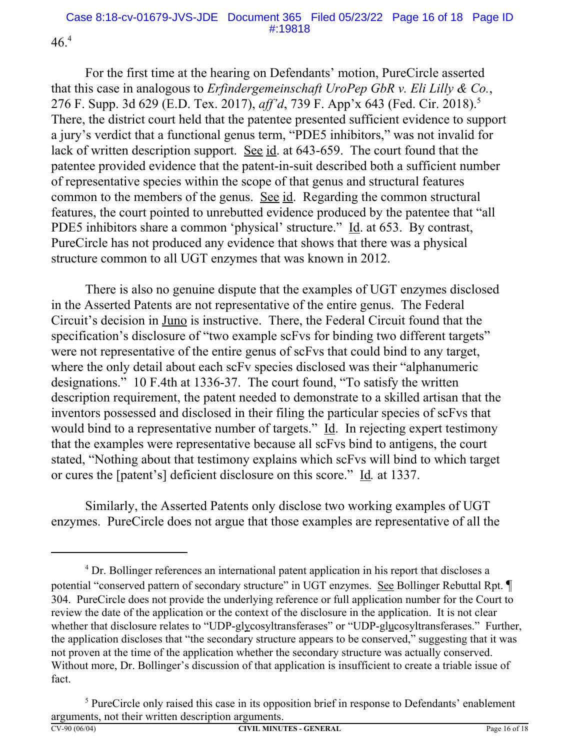$46.<sup>4</sup>$ 

For the first time at the hearing on Defendants' motion, PureCircle asserted that this case in analogous to *Erfindergemeinschaft UroPep GbR v. Eli Lilly & Co.*, 276 F. Supp. 3d 629 (E.D. Tex. 2017), *aff'd*, 739 F. App'x 643 (Fed. Cir. 2018).5 There, the district court held that the patentee presented sufficient evidence to support a jury's verdict that a functional genus term, "PDE5 inhibitors," was not invalid for lack of written description support. See id. at 643-659. The court found that the patentee provided evidence that the patent-in-suit described both a sufficient number of representative species within the scope of that genus and structural features common to the members of the genus. See id. Regarding the common structural features, the court pointed to unrebutted evidence produced by the patentee that "all PDE5 inhibitors share a common 'physical' structure." Id. at 653. By contrast, PureCircle has not produced any evidence that shows that there was a physical structure common to all UGT enzymes that was known in 2012.

There is also no genuine dispute that the examples of UGT enzymes disclosed in the Asserted Patents are not representative of the entire genus. The Federal Circuit's decision in Juno is instructive. There, the Federal Circuit found that the specification's disclosure of "two example scFvs for binding two different targets" were not representative of the entire genus of scFvs that could bind to any target, where the only detail about each scFv species disclosed was their "alphanumeric designations." 10 F.4th at 1336-37. The court found, "To satisfy the written description requirement, the patent needed to demonstrate to a skilled artisan that the inventors possessed and disclosed in their filing the particular species of scFvs that would bind to a representative number of targets." Id. In rejecting expert testimony that the examples were representative because all scFvs bind to antigens, the court stated, "Nothing about that testimony explains which scFvs will bind to which target or cures the [patent's] deficient disclosure on this score." Id*.* at 1337.

Similarly, the Asserted Patents only disclose two working examples of UGT enzymes. PureCircle does not argue that those examples are representative of all the

<sup>&</sup>lt;sup>4</sup> Dr. Bollinger references an international patent application in his report that discloses a potential "conserved pattern of secondary structure" in UGT enzymes. See Bollinger Rebuttal Rpt.  $\P$ 304. PureCircle does not provide the underlying reference or full application number for the Court to review the date of the application or the context of the disclosure in the application. It is not clear whether that disclosure relates to "UDP-glycosyltransferases" or "UDP-glucosyltransferases." Further, the application discloses that "the secondary structure appears to be conserved," suggesting that it was not proven at the time of the application whether the secondary structure was actually conserved. Without more, Dr. Bollinger's discussion of that application is insufficient to create a triable issue of fact.

 $<sup>5</sup>$  PureCircle only raised this case in its opposition brief in response to Defendants' enablement</sup> arguments, not their written description arguments.<br>CV-90 (06/04) CIVIL MINU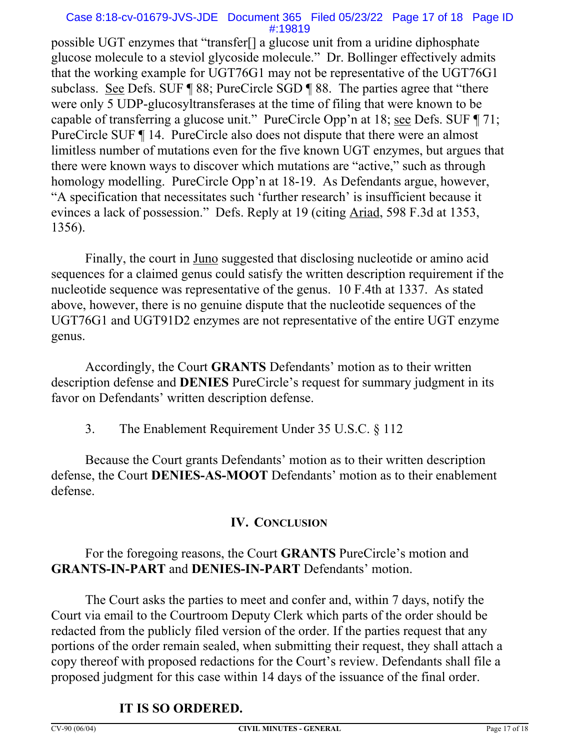### Case 8:18-cv-01679-JVS-JDE Document 365 Filed 05/23/22 Page 17 of 18 Page ID #:19819

possible UGT enzymes that "transfer[] a glucose unit from a uridine diphosphate glucose molecule to a steviol glycoside molecule." Dr. Bollinger effectively admits that the working example for UGT76G1 may not be representative of the UGT76G1 subclass. See Defs. SUF ¶ 88; PureCircle SGD ¶ 88. The parties agree that "there were only 5 UDP-glucosyltransferases at the time of filing that were known to be capable of transferring a glucose unit." PureCircle Opp'n at 18; see Defs. SUF ¶ 71; PureCircle SUF ¶ 14. PureCircle also does not dispute that there were an almost limitless number of mutations even for the five known UGT enzymes, but argues that there were known ways to discover which mutations are "active," such as through homology modelling. PureCircle Opp'n at 18-19. As Defendants argue, however, "A specification that necessitates such 'further research' is insufficient because it evinces a lack of possession." Defs. Reply at 19 (citing Ariad, 598 F.3d at 1353, 1356).

Finally, the court in <u>Juno</u> suggested that disclosing nucleotide or amino acid sequences for a claimed genus could satisfy the written description requirement if the nucleotide sequence was representative of the genus. 10 F.4th at 1337. As stated above, however, there is no genuine dispute that the nucleotide sequences of the UGT76G1 and UGT91D2 enzymes are not representative of the entire UGT enzyme genus.

Accordingly, the Court **GRANTS** Defendants' motion as to their written description defense and **DENIES** PureCircle's request for summary judgment in its favor on Defendants' written description defense.

3. The Enablement Requirement Under 35 U.S.C. § 112

Because the Court grants Defendants' motion as to their written description defense, the Court **DENIES-AS-MOOT** Defendants' motion as to their enablement defense.

## **IV. CONCLUSION**

## For the foregoing reasons, the Court **GRANTS** PureCircle's motion and **GRANTS-IN-PART** and **DENIES-IN-PART** Defendants' motion.

The Court asks the parties to meet and confer and, within 7 days, notify the Court via email to the Courtroom Deputy Clerk which parts of the order should be redacted from the publicly filed version of the order. If the parties request that any portions of the order remain sealed, when submitting their request, they shall attach a copy thereof with proposed redactions for the Court's review. Defendants shall file a proposed judgment for this case within 14 days of the issuance of the final order.

## **IT IS SO ORDERED.**